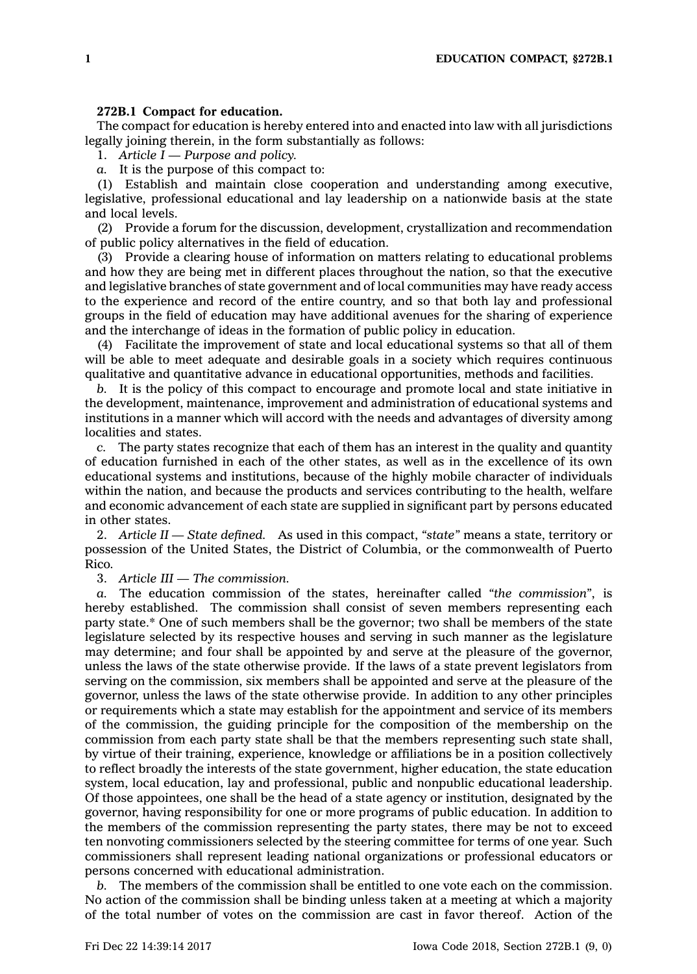## **272B.1 Compact for education.**

The compact for education is hereby entered into and enacted into law with all jurisdictions legally joining therein, in the form substantially as follows:

1. *Article I —Purpose and policy.*

*a.* It is the purpose of this compact to:

(1) Establish and maintain close cooperation and understanding among executive, legislative, professional educational and lay leadership on <sup>a</sup> nationwide basis at the state and local levels.

(2) Provide <sup>a</sup> forum for the discussion, development, crystallization and recommendation of public policy alternatives in the field of education.

(3) Provide <sup>a</sup> clearing house of information on matters relating to educational problems and how they are being met in different places throughout the nation, so that the executive and legislative branches of state government and of local communities may have ready access to the experience and record of the entire country, and so that both lay and professional groups in the field of education may have additional avenues for the sharing of experience and the interchange of ideas in the formation of public policy in education.

(4) Facilitate the improvement of state and local educational systems so that all of them will be able to meet adequate and desirable goals in <sup>a</sup> society which requires continuous qualitative and quantitative advance in educational opportunities, methods and facilities.

*b.* It is the policy of this compact to encourage and promote local and state initiative in the development, maintenance, improvement and administration of educational systems and institutions in <sup>a</sup> manner which will accord with the needs and advantages of diversity among localities and states.

*c.* The party states recognize that each of them has an interest in the quality and quantity of education furnished in each of the other states, as well as in the excellence of its own educational systems and institutions, because of the highly mobile character of individuals within the nation, and because the products and services contributing to the health, welfare and economic advancement of each state are supplied in significant part by persons educated in other states.

2. *Article II —State defined.* As used in this compact, *"state"* means <sup>a</sup> state, territory or possession of the United States, the District of Columbia, or the commonwealth of Puerto Rico.

3. *Article III —The commission.*

*a.* The education commission of the states, hereinafter called *"the commission"*, is hereby established. The commission shall consist of seven members representing each party state.\* One of such members shall be the governor; two shall be members of the state legislature selected by its respective houses and serving in such manner as the legislature may determine; and four shall be appointed by and serve at the pleasure of the governor, unless the laws of the state otherwise provide. If the laws of <sup>a</sup> state prevent legislators from serving on the commission, six members shall be appointed and serve at the pleasure of the governor, unless the laws of the state otherwise provide. In addition to any other principles or requirements which <sup>a</sup> state may establish for the appointment and service of its members of the commission, the guiding principle for the composition of the membership on the commission from each party state shall be that the members representing such state shall, by virtue of their training, experience, knowledge or affiliations be in <sup>a</sup> position collectively to reflect broadly the interests of the state government, higher education, the state education system, local education, lay and professional, public and nonpublic educational leadership. Of those appointees, one shall be the head of <sup>a</sup> state agency or institution, designated by the governor, having responsibility for one or more programs of public education. In addition to the members of the commission representing the party states, there may be not to exceed ten nonvoting commissioners selected by the steering committee for terms of one year. Such commissioners shall represent leading national organizations or professional educators or persons concerned with educational administration.

*b.* The members of the commission shall be entitled to one vote each on the commission. No action of the commission shall be binding unless taken at <sup>a</sup> meeting at which <sup>a</sup> majority of the total number of votes on the commission are cast in favor thereof. Action of the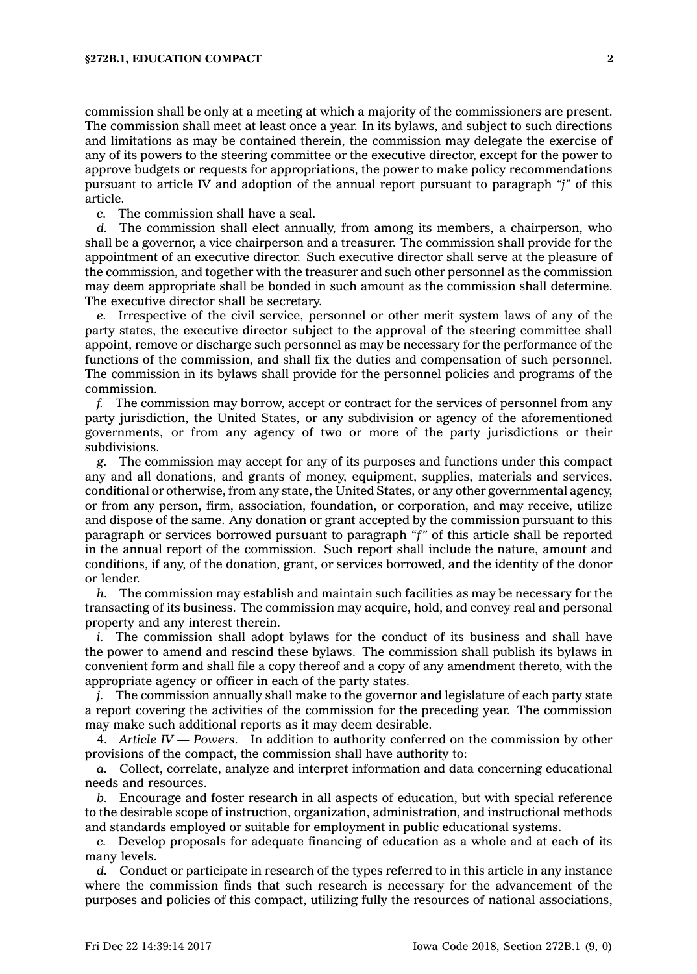commission shall be only at <sup>a</sup> meeting at which <sup>a</sup> majority of the commissioners are present. The commission shall meet at least once <sup>a</sup> year. In its bylaws, and subject to such directions and limitations as may be contained therein, the commission may delegate the exercise of any of its powers to the steering committee or the executive director, except for the power to approve budgets or requests for appropriations, the power to make policy recommendations pursuant to article IV and adoption of the annual report pursuant to paragraph *"j"* of this article.

*c.* The commission shall have <sup>a</sup> seal.

*d.* The commission shall elect annually, from among its members, <sup>a</sup> chairperson, who shall be <sup>a</sup> governor, <sup>a</sup> vice chairperson and <sup>a</sup> treasurer. The commission shall provide for the appointment of an executive director. Such executive director shall serve at the pleasure of the commission, and together with the treasurer and such other personnel as the commission may deem appropriate shall be bonded in such amount as the commission shall determine. The executive director shall be secretary.

*e.* Irrespective of the civil service, personnel or other merit system laws of any of the party states, the executive director subject to the approval of the steering committee shall appoint, remove or discharge such personnel as may be necessary for the performance of the functions of the commission, and shall fix the duties and compensation of such personnel. The commission in its bylaws shall provide for the personnel policies and programs of the commission.

*f.* The commission may borrow, accept or contract for the services of personnel from any party jurisdiction, the United States, or any subdivision or agency of the aforementioned governments, or from any agency of two or more of the party jurisdictions or their subdivisions.

*g.* The commission may accept for any of its purposes and functions under this compact any and all donations, and grants of money, equipment, supplies, materials and services, conditional or otherwise, from any state, the United States, or any other governmental agency, or from any person, firm, association, foundation, or corporation, and may receive, utilize and dispose of the same. Any donation or grant accepted by the commission pursuant to this paragraph or services borrowed pursuant to paragraph *"f"* of this article shall be reported in the annual report of the commission. Such report shall include the nature, amount and conditions, if any, of the donation, grant, or services borrowed, and the identity of the donor or lender.

*h.* The commission may establish and maintain such facilities as may be necessary for the transacting of its business. The commission may acquire, hold, and convey real and personal property and any interest therein.

*i.* The commission shall adopt bylaws for the conduct of its business and shall have the power to amend and rescind these bylaws. The commission shall publish its bylaws in convenient form and shall file <sup>a</sup> copy thereof and <sup>a</sup> copy of any amendment thereto, with the appropriate agency or officer in each of the party states.

*j.* The commission annually shall make to the governor and legislature of each party state <sup>a</sup> report covering the activities of the commission for the preceding year. The commission may make such additional reports as it may deem desirable.

4. *Article IV — Powers.* In addition to authority conferred on the commission by other provisions of the compact, the commission shall have authority to:

*a.* Collect, correlate, analyze and interpret information and data concerning educational needs and resources.

*b.* Encourage and foster research in all aspects of education, but with special reference to the desirable scope of instruction, organization, administration, and instructional methods and standards employed or suitable for employment in public educational systems.

*c.* Develop proposals for adequate financing of education as <sup>a</sup> whole and at each of its many levels.

*d.* Conduct or participate in research of the types referred to in this article in any instance where the commission finds that such research is necessary for the advancement of the purposes and policies of this compact, utilizing fully the resources of national associations,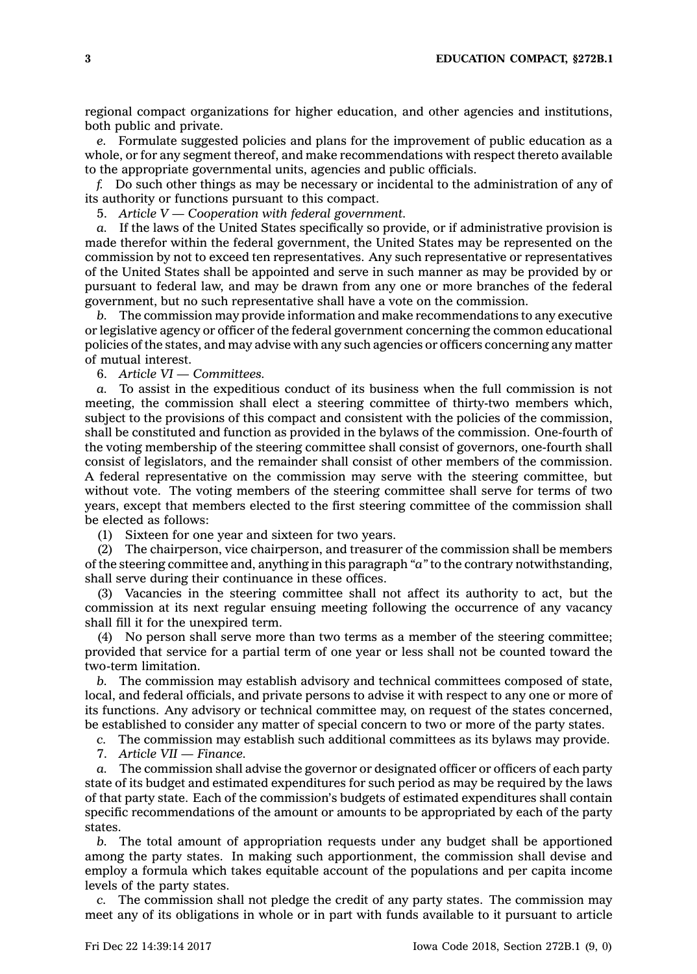regional compact organizations for higher education, and other agencies and institutions, both public and private.

*e.* Formulate suggested policies and plans for the improvement of public education as <sup>a</sup> whole, or for any segment thereof, and make recommendations with respect thereto available to the appropriate governmental units, agencies and public officials.

*f.* Do such other things as may be necessary or incidental to the administration of any of its authority or functions pursuant to this compact.

5. *Article V — Cooperation with federal government.*

*a.* If the laws of the United States specifically so provide, or if administrative provision is made therefor within the federal government, the United States may be represented on the commission by not to exceed ten representatives. Any such representative or representatives of the United States shall be appointed and serve in such manner as may be provided by or pursuant to federal law, and may be drawn from any one or more branches of the federal government, but no such representative shall have <sup>a</sup> vote on the commission.

*b.* The commission may provide information and make recommendations to any executive or legislative agency or officer of the federal government concerning the common educational policies of the states, and may advise with any such agencies or officers concerning any matter of mutual interest.

6. *Article VI — Committees.*

*a.* To assist in the expeditious conduct of its business when the full commission is not meeting, the commission shall elect <sup>a</sup> steering committee of thirty-two members which, subject to the provisions of this compact and consistent with the policies of the commission, shall be constituted and function as provided in the bylaws of the commission. One-fourth of the voting membership of the steering committee shall consist of governors, one-fourth shall consist of legislators, and the remainder shall consist of other members of the commission. A federal representative on the commission may serve with the steering committee, but without vote. The voting members of the steering committee shall serve for terms of two years, except that members elected to the first steering committee of the commission shall be elected as follows:

(1) Sixteen for one year and sixteen for two years.

(2) The chairperson, vice chairperson, and treasurer of the commission shall be members of the steering committee and, anything in this paragraph *"a"* to the contrary notwithstanding, shall serve during their continuance in these offices.

(3) Vacancies in the steering committee shall not affect its authority to act, but the commission at its next regular ensuing meeting following the occurrence of any vacancy shall fill it for the unexpired term.

(4) No person shall serve more than two terms as <sup>a</sup> member of the steering committee; provided that service for <sup>a</sup> partial term of one year or less shall not be counted toward the two-term limitation.

*b.* The commission may establish advisory and technical committees composed of state, local, and federal officials, and private persons to advise it with respect to any one or more of its functions. Any advisory or technical committee may, on request of the states concerned, be established to consider any matter of special concern to two or more of the party states.

*c.* The commission may establish such additional committees as its bylaws may provide.

7. *Article VII —Finance.*

*a.* The commission shall advise the governor or designated officer or officers of each party state of its budget and estimated expenditures for such period as may be required by the laws of that party state. Each of the commission's budgets of estimated expenditures shall contain specific recommendations of the amount or amounts to be appropriated by each of the party states.

*b.* The total amount of appropriation requests under any budget shall be apportioned among the party states. In making such apportionment, the commission shall devise and employ <sup>a</sup> formula which takes equitable account of the populations and per capita income levels of the party states.

*c.* The commission shall not pledge the credit of any party states. The commission may meet any of its obligations in whole or in part with funds available to it pursuant to article